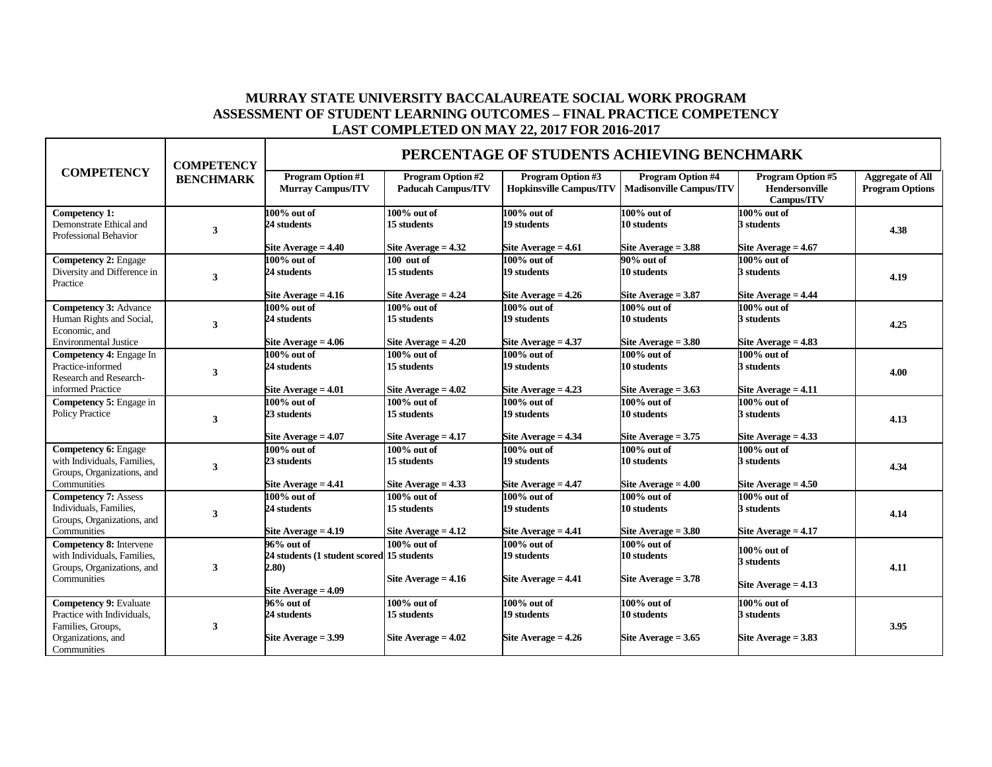## **MURRAY STATE UNIVERSITY BACCALAUREATE SOCIAL WORK PROGRAM ASSESSMENT OF STUDENT LEARNING OUTCOMES – FINAL PRACTICE COMPETENCY LAST COMPLETED ON MAY 22, 2017 FOR 2016-2017**

|                                                                                                                       | <b>COMPETENCY</b><br><b>BENCHMARK</b> | PERCENTAGE OF STUDENTS ACHIEVING BENCHMARK                                                |                                                                               |                                                                                 |                                                                               |                                                                             |                                                   |  |
|-----------------------------------------------------------------------------------------------------------------------|---------------------------------------|-------------------------------------------------------------------------------------------|-------------------------------------------------------------------------------|---------------------------------------------------------------------------------|-------------------------------------------------------------------------------|-----------------------------------------------------------------------------|---------------------------------------------------|--|
| <b>COMPETENCY</b>                                                                                                     |                                       | <b>Program Option #1</b><br><b>Murray Campus/ITV</b>                                      | <b>Program Option #2</b><br><b>Paducah Campus/ITV</b>                         | Program Option #3                                                               | <b>Program Option #4</b><br>Hopkinsville Campus/ITV   Madisonville Campus/ITV | <b>Program Option #5</b><br>Hendersonville<br>Campus/ITV                    | <b>Aggregate of All</b><br><b>Program Options</b> |  |
| Competency 1:<br>Demonstrate Ethical and<br>Professional Behavior                                                     | 3                                     | $100\%$ out of<br>24 students<br>Site Average $= 4.40$                                    | $100\%$ out of<br>15 students                                                 | $100\%$ out of<br>19 students                                                   | $100\%$ out of<br>10 students                                                 | 100% out of<br>3 students                                                   | 4.38                                              |  |
| <b>Competency 2: Engage</b><br>Diversity and Difference in<br>Practice                                                | $\mathbf{3}$                          | $100\%$ out of<br>24 students<br>Site Average $= 4.16$                                    | Site Average $= 4.32$<br>$100$ out of<br>15 students<br>Site Average $= 4.24$ | Site Average $= 4.61$<br>$100\%$ out of<br>19 students<br>Site Average $= 4.26$ | Site Average $= 3.88$<br>90% out of<br>10 students<br>Site Average $= 3.87$   | Site Average $= 4.67$<br>100% out of<br>3 students<br>Site Average $= 4.44$ | 4.19                                              |  |
| <b>Competency 3: Advance</b><br>Human Rights and Social,<br>Economic, and<br><b>Environmental Justice</b>             | 3                                     | $100\%$ out of<br>24 students<br>Site Average $= 4.06$                                    | $100\%$ out of<br>15 students<br>Site Average $= 4.20$                        | $100\%$ out of<br>19 students<br>Site Average $= 4.37$                          | $100\%$ out of<br>10 students<br>Site Average $= 3.80$                        | 100% out of<br>3 students<br>Site Average $= 4.83$                          | 4.25                                              |  |
| Competency 4: Engage In<br>Practice-informed<br>Research and Research-<br>informed Practice                           | 3                                     | $100\%$ out of<br>24 students<br>Site Average $= 4.01$                                    | $100\%$ out of<br>15 students<br>Site Average $= 4.02$                        | $100\%$ out of<br>19 students<br>Site Average $= 4.23$                          | 100% out of<br>10 students<br>Site Average $= 3.63$                           | 100% out of<br>3 students<br>Site Average $= 4.11$                          | 4.00                                              |  |
| Competency 5: Engage in<br><b>Policy Practice</b>                                                                     | 3                                     | $100\%$ out of<br>23 students<br>Site Average $= 4.07$                                    | $100\%$ out of<br>15 students<br>Site Average $= 4.17$                        | $100\%$ out of<br>19 students<br>Site Average $= 4.34$                          | $100\%$ out of<br>10 students<br>Site Average $= 3.75$                        | 100% out of<br>3 students<br>Site Average $= 4.33$                          | 4.13                                              |  |
| <b>Competency 6: Engage</b><br>with Individuals, Families,<br>Groups, Organizations, and<br>Communities               | 3                                     | $100\%$ out of<br>23 students<br>Site Average $= 4.41$                                    | $100\%$ out of<br>15 students<br>Site Average $= 4.33$                        | $100\%$ out of<br>19 students<br>Site Average $= 4.47$                          | 100% out of<br>10 students<br>Site Average $= 4.00$                           | 100% out of<br>3 students<br>Site Average $= 4.50$                          | 4.34                                              |  |
| <b>Competency 7: Assess</b><br>Individuals, Families,<br>Groups, Organizations, and<br>Communities                    | 3                                     | $100\%$ out of<br>24 students<br>Site Average = 4.19                                      | $100\%$ out of<br>15 students<br>Site Average $= 4.12$                        | $100\%$ out of<br>19 students<br>Site Average $= 4.41$                          | $100\%$ out of<br>10 students<br>Site Average $= 3.80$                        | $100\%$ out of<br>3 students<br>Site Average $= 4.17$                       | 4.14                                              |  |
| Competency 8: Intervene<br>with Individuals, Families,<br>Groups, Organizations, and<br>Communities                   | $\mathbf{3}$                          | 96% out of<br>24 students (1 student scored 15 students<br>2.80)<br>Site Average $= 4.09$ | $100\%$ out of<br>Site Average $= 4.16$                                       | $100\%$ out of<br>19 students<br>Site Average = $4.41$                          | $100\%$ out of<br>10 students<br>Site Average $= 3.78$                        | 100% out of<br>3 students<br>Site Average $= 4.13$                          | 4.11                                              |  |
| <b>Competency 9: Evaluate</b><br>Practice with Individuals,<br>Families, Groups,<br>Organizations, and<br>Communities | 3                                     | 96% out of<br>24 students<br>Site Average $= 3.99$                                        | $100\%$ out of<br>15 students<br>Site Average $= 4.02$                        | $100\%$ out of<br>19 students<br>Site Average $= 4.26$                          | 100% out of<br>10 students<br>Site Average $= 3.65$                           | 100% out of<br>3 students<br>Site Average $= 3.83$                          | 3.95                                              |  |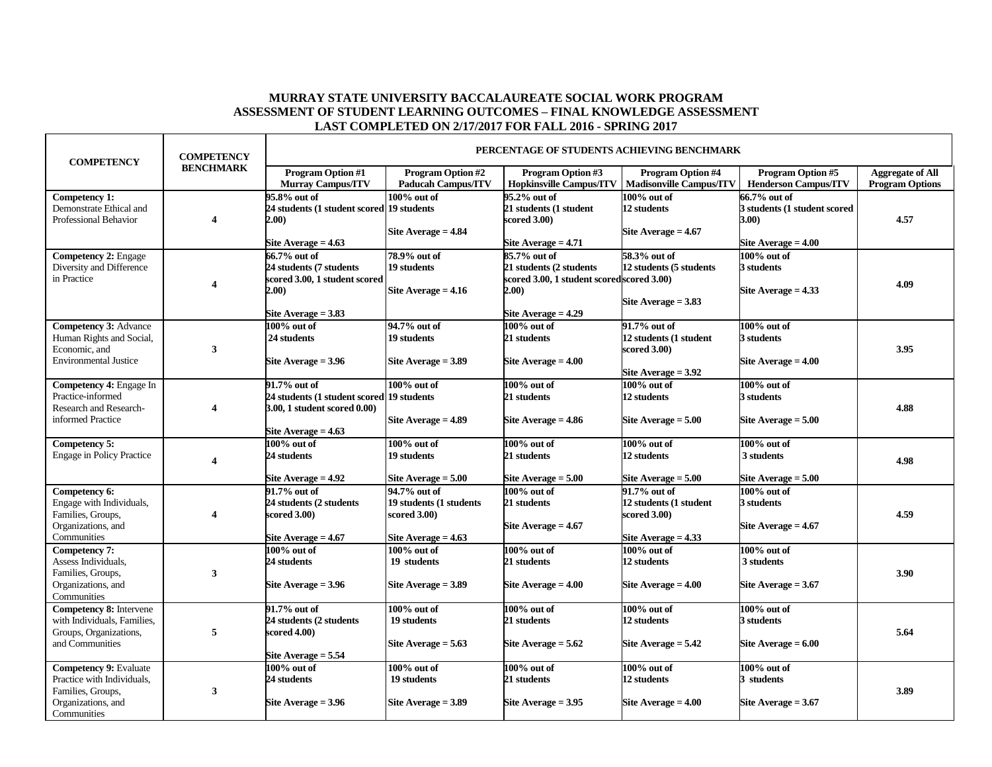## **MURRAY STATE UNIVERSITY BACCALAUREATE SOCIAL WORK PROGRAM ASSESSMENT OF STUDENT LEARNING OUTCOMES – FINAL KNOWLEDGE ASSESSMENT LAST COMPLETED ON 2/17/2017 FOR FALL 2016 - SPRING 2017**

| <b>Program Option #1</b><br><b>Program Option #2</b><br><b>Program Option #5</b><br><b>Program Option #3</b><br><b>Program Option #4</b><br><b>Aggregate of All</b><br><b>Hopkinsville Campus/ITV</b><br><b>Murray Campus/ITV</b><br><b>Paducah Campus/ITV</b><br><b>Madisonville Campus/ITV</b><br><b>Henderson Campus/ITV</b><br><b>Program Options</b><br>95.2% out of<br>100% out of<br>Competency $1$ :<br>95.8% out of<br>$100\%$ out of<br>66.7% out of<br>Demonstrate Ethical and<br>21 students (1 student<br>24 students (1 student scored 19 students<br>12 students<br>3 students (1 student scored<br>Professional Behavior<br>scored 3.00)<br>4.57<br>4<br>2.00)<br><b>3.00)</b><br>Site Average $= 4.84$<br>Site Average $= 4.67$<br>Site Average $= 4.63$<br>Site Average $= 4.71$<br>Site Average $= 4.00$<br>78.9% out of<br>$100\%$ out of<br><b>Competency 2: Engage</b><br>66.7% out of<br>85.7% out of<br>58.3% out of<br>Diversity and Difference<br>19 students<br>24 students (7 students<br>21 students (2 students<br>12 students (5 students<br>3 students<br>in Practice<br>scored 3.00, 1 student scored<br>scored 3.00, 1 student scoredscored 3.00)<br>4.09<br>4<br>2.00)<br>2.00)<br>Site Average $= 4.16$<br>Site Average $= 4.33$<br>Site Average $= 3.83$<br>Site Average $= 3.83$<br>Site Average $= 4.29$<br>94.7% out of<br><b>Competency 3: Advance</b><br>$100\%$ out of<br>91.7% out of<br>$100\%$ out of<br>$100\%$ out of<br>12 students (1 student<br>Human Rights and Social,<br>24 students<br>19 students<br>21 students<br>3 students<br>3.95<br>Economic, and<br>3<br>scored 3.00)<br><b>Environmental Justice</b><br>Site Average $= 3.96$<br>Site Average = 3.89<br>Site Average $= 4.00$<br>Site Average $=$ 4.00<br>Site Average $= 3.92$<br>Competency 4: Engage In<br>$100\%$ out of<br>100% out of<br>100% out of<br>91.7% out of<br>$100\%$ out of<br>Practice-informed<br>24 students (1 student scored 19 students<br>21 students<br>12 students<br>3 students<br>Research and Research-<br>4.88<br>3.00, 1 student scored 0.00)<br>4<br>informed Practice<br>Site Average $= 4.89$<br>Site Average $= 4.86$<br>Site Average $= 5.00$<br>Site Average $= 5.00$<br>Site Average $= 4.63$<br>$100\%$ out of<br>$100\%$ out of<br>$100\%$ out of<br>100% out of<br>$100\%$ out of<br>Competency 5:<br>24 students<br>19 students<br><b>Engage in Policy Practice</b><br>21 students<br>12 students<br>3 students<br>4.98<br>4<br>Site Average $= 4.92$<br>Site Average = 5.00<br>Site Average $= 5.00$<br>Site Average $= 5.00$<br>Site Average $= 5.00$<br>Competency 6:<br>91.7% out of<br>94.7% out of<br>$100\%$ out of<br>91.7% out of<br>$100\%$ out of<br>Engage with Individuals,<br>24 students (2 students<br>19 students (1 students<br>21 students<br>12 students (1 student<br>3 students<br>Families, Groups,<br>4.59<br>cored 3.00)<br>scored 3.00)<br>scored 3.00)<br>4<br>Organizations, and<br>Site Average = 4.67<br>Site Average $= 4.67$<br>Site Average = $4.67$<br>Site Average $= 4.63$<br>Site Average = $4.33$<br>Communities<br>Competency 7:<br>$100\%$ out of<br>$100\%$ out of<br>$100\%$ out of<br>100% out of<br>$100\%$ out of<br>Assess Individuals,<br>24 students<br>21 students<br>3 students<br>19 students<br>12 students<br>3<br>3.90<br>Families, Groups,<br>Organizations, and<br>Site Average $= 3.96$<br>Site Average = 3.89<br>Site Average = 4.00<br>Site Average = 4.00<br>Site Average $= 3.67$<br>Communities<br><b>Competency 8:</b> Intervene<br>$100\%$ out of<br>91.7% out of<br>$100\%$ out of<br>$100\%$ out of<br>$100\%$ out of<br>with Individuals, Families,<br>24 students (2 students<br>19 students<br>21 students<br>12 students<br>3 students<br>Groups, Organizations,<br>5<br>5.64<br>scored 4.00)<br>and Communities<br>Site Average $= 5.63$<br>Site Average $= 5.62$<br>Site Average $= 5.42$<br>Site Average $= 6.00$<br>Site Average $= 5.54$<br><b>Competency 9: Evaluate</b><br>$100\%$ out of<br>$100\%$ out of<br>$100\%$ out of<br>$100\%$ out of<br>$100\%$ out of<br>Practice with Individuals,<br>24 students<br>19 students<br>12 students<br>3 students<br>21 students<br>Families, Groups,<br>3<br>3.89<br>Organizations, and<br>Site Average = 3.89<br>Site Average $= 3.95$<br>Site Average $= 4.00$<br>Site Average = 3.96<br>Site Average $= 3.67$<br>Communities | <b>COMPETENCY</b> | <b>COMPETENCY</b> | PERCENTAGE OF STUDENTS ACHIEVING BENCHMARK |  |  |  |  |  |  |
|------------------------------------------------------------------------------------------------------------------------------------------------------------------------------------------------------------------------------------------------------------------------------------------------------------------------------------------------------------------------------------------------------------------------------------------------------------------------------------------------------------------------------------------------------------------------------------------------------------------------------------------------------------------------------------------------------------------------------------------------------------------------------------------------------------------------------------------------------------------------------------------------------------------------------------------------------------------------------------------------------------------------------------------------------------------------------------------------------------------------------------------------------------------------------------------------------------------------------------------------------------------------------------------------------------------------------------------------------------------------------------------------------------------------------------------------------------------------------------------------------------------------------------------------------------------------------------------------------------------------------------------------------------------------------------------------------------------------------------------------------------------------------------------------------------------------------------------------------------------------------------------------------------------------------------------------------------------------------------------------------------------------------------------------------------------------------------------------------------------------------------------------------------------------------------------------------------------------------------------------------------------------------------------------------------------------------------------------------------------------------------------------------------------------------------------------------------------------------------------------------------------------------------------------------------------------------------------------------------------------------------------------------------------------------------------------------------------------------------------------------------------------------------------------------------------------------------------------------------------------------------------------------------------------------------------------------------------------------------------------------------------------------------------------------------------------------------------------------------------------------------------------------------------------------------------------------------------------------------------------------------------------------------------------------------------------------------------------------------------------------------------------------------------------------------------------------------------------------------------------------------------------------------------------------------------------------------------------------------------------------------------------------------------------------------------------------------------------------------------------------------------------------------------------------------------------------------------------------------------------------------------------------------------------------------------------------------------------------------------------------------------------------------------------------------------------------------------------------------------------------------------------------------------------------------------------------------------------------------------------------------------------------------------------------------------------------------------------------------------------------------------------------------------|-------------------|-------------------|--------------------------------------------|--|--|--|--|--|--|
|                                                                                                                                                                                                                                                                                                                                                                                                                                                                                                                                                                                                                                                                                                                                                                                                                                                                                                                                                                                                                                                                                                                                                                                                                                                                                                                                                                                                                                                                                                                                                                                                                                                                                                                                                                                                                                                                                                                                                                                                                                                                                                                                                                                                                                                                                                                                                                                                                                                                                                                                                                                                                                                                                                                                                                                                                                                                                                                                                                                                                                                                                                                                                                                                                                                                                                                                                                                                                                                                                                                                                                                                                                                                                                                                                                                                                                                                                                                                                                                                                                                                                                                                                                                                                                                                                                                                                                                                                  |                   | <b>BENCHMARK</b>  |                                            |  |  |  |  |  |  |
|                                                                                                                                                                                                                                                                                                                                                                                                                                                                                                                                                                                                                                                                                                                                                                                                                                                                                                                                                                                                                                                                                                                                                                                                                                                                                                                                                                                                                                                                                                                                                                                                                                                                                                                                                                                                                                                                                                                                                                                                                                                                                                                                                                                                                                                                                                                                                                                                                                                                                                                                                                                                                                                                                                                                                                                                                                                                                                                                                                                                                                                                                                                                                                                                                                                                                                                                                                                                                                                                                                                                                                                                                                                                                                                                                                                                                                                                                                                                                                                                                                                                                                                                                                                                                                                                                                                                                                                                                  |                   |                   |                                            |  |  |  |  |  |  |
|                                                                                                                                                                                                                                                                                                                                                                                                                                                                                                                                                                                                                                                                                                                                                                                                                                                                                                                                                                                                                                                                                                                                                                                                                                                                                                                                                                                                                                                                                                                                                                                                                                                                                                                                                                                                                                                                                                                                                                                                                                                                                                                                                                                                                                                                                                                                                                                                                                                                                                                                                                                                                                                                                                                                                                                                                                                                                                                                                                                                                                                                                                                                                                                                                                                                                                                                                                                                                                                                                                                                                                                                                                                                                                                                                                                                                                                                                                                                                                                                                                                                                                                                                                                                                                                                                                                                                                                                                  |                   |                   |                                            |  |  |  |  |  |  |
|                                                                                                                                                                                                                                                                                                                                                                                                                                                                                                                                                                                                                                                                                                                                                                                                                                                                                                                                                                                                                                                                                                                                                                                                                                                                                                                                                                                                                                                                                                                                                                                                                                                                                                                                                                                                                                                                                                                                                                                                                                                                                                                                                                                                                                                                                                                                                                                                                                                                                                                                                                                                                                                                                                                                                                                                                                                                                                                                                                                                                                                                                                                                                                                                                                                                                                                                                                                                                                                                                                                                                                                                                                                                                                                                                                                                                                                                                                                                                                                                                                                                                                                                                                                                                                                                                                                                                                                                                  |                   |                   |                                            |  |  |  |  |  |  |
|                                                                                                                                                                                                                                                                                                                                                                                                                                                                                                                                                                                                                                                                                                                                                                                                                                                                                                                                                                                                                                                                                                                                                                                                                                                                                                                                                                                                                                                                                                                                                                                                                                                                                                                                                                                                                                                                                                                                                                                                                                                                                                                                                                                                                                                                                                                                                                                                                                                                                                                                                                                                                                                                                                                                                                                                                                                                                                                                                                                                                                                                                                                                                                                                                                                                                                                                                                                                                                                                                                                                                                                                                                                                                                                                                                                                                                                                                                                                                                                                                                                                                                                                                                                                                                                                                                                                                                                                                  |                   |                   |                                            |  |  |  |  |  |  |
|                                                                                                                                                                                                                                                                                                                                                                                                                                                                                                                                                                                                                                                                                                                                                                                                                                                                                                                                                                                                                                                                                                                                                                                                                                                                                                                                                                                                                                                                                                                                                                                                                                                                                                                                                                                                                                                                                                                                                                                                                                                                                                                                                                                                                                                                                                                                                                                                                                                                                                                                                                                                                                                                                                                                                                                                                                                                                                                                                                                                                                                                                                                                                                                                                                                                                                                                                                                                                                                                                                                                                                                                                                                                                                                                                                                                                                                                                                                                                                                                                                                                                                                                                                                                                                                                                                                                                                                                                  |                   |                   |                                            |  |  |  |  |  |  |
|                                                                                                                                                                                                                                                                                                                                                                                                                                                                                                                                                                                                                                                                                                                                                                                                                                                                                                                                                                                                                                                                                                                                                                                                                                                                                                                                                                                                                                                                                                                                                                                                                                                                                                                                                                                                                                                                                                                                                                                                                                                                                                                                                                                                                                                                                                                                                                                                                                                                                                                                                                                                                                                                                                                                                                                                                                                                                                                                                                                                                                                                                                                                                                                                                                                                                                                                                                                                                                                                                                                                                                                                                                                                                                                                                                                                                                                                                                                                                                                                                                                                                                                                                                                                                                                                                                                                                                                                                  |                   |                   |                                            |  |  |  |  |  |  |
|                                                                                                                                                                                                                                                                                                                                                                                                                                                                                                                                                                                                                                                                                                                                                                                                                                                                                                                                                                                                                                                                                                                                                                                                                                                                                                                                                                                                                                                                                                                                                                                                                                                                                                                                                                                                                                                                                                                                                                                                                                                                                                                                                                                                                                                                                                                                                                                                                                                                                                                                                                                                                                                                                                                                                                                                                                                                                                                                                                                                                                                                                                                                                                                                                                                                                                                                                                                                                                                                                                                                                                                                                                                                                                                                                                                                                                                                                                                                                                                                                                                                                                                                                                                                                                                                                                                                                                                                                  |                   |                   |                                            |  |  |  |  |  |  |
|                                                                                                                                                                                                                                                                                                                                                                                                                                                                                                                                                                                                                                                                                                                                                                                                                                                                                                                                                                                                                                                                                                                                                                                                                                                                                                                                                                                                                                                                                                                                                                                                                                                                                                                                                                                                                                                                                                                                                                                                                                                                                                                                                                                                                                                                                                                                                                                                                                                                                                                                                                                                                                                                                                                                                                                                                                                                                                                                                                                                                                                                                                                                                                                                                                                                                                                                                                                                                                                                                                                                                                                                                                                                                                                                                                                                                                                                                                                                                                                                                                                                                                                                                                                                                                                                                                                                                                                                                  |                   |                   |                                            |  |  |  |  |  |  |
|                                                                                                                                                                                                                                                                                                                                                                                                                                                                                                                                                                                                                                                                                                                                                                                                                                                                                                                                                                                                                                                                                                                                                                                                                                                                                                                                                                                                                                                                                                                                                                                                                                                                                                                                                                                                                                                                                                                                                                                                                                                                                                                                                                                                                                                                                                                                                                                                                                                                                                                                                                                                                                                                                                                                                                                                                                                                                                                                                                                                                                                                                                                                                                                                                                                                                                                                                                                                                                                                                                                                                                                                                                                                                                                                                                                                                                                                                                                                                                                                                                                                                                                                                                                                                                                                                                                                                                                                                  |                   |                   |                                            |  |  |  |  |  |  |
|                                                                                                                                                                                                                                                                                                                                                                                                                                                                                                                                                                                                                                                                                                                                                                                                                                                                                                                                                                                                                                                                                                                                                                                                                                                                                                                                                                                                                                                                                                                                                                                                                                                                                                                                                                                                                                                                                                                                                                                                                                                                                                                                                                                                                                                                                                                                                                                                                                                                                                                                                                                                                                                                                                                                                                                                                                                                                                                                                                                                                                                                                                                                                                                                                                                                                                                                                                                                                                                                                                                                                                                                                                                                                                                                                                                                                                                                                                                                                                                                                                                                                                                                                                                                                                                                                                                                                                                                                  |                   |                   |                                            |  |  |  |  |  |  |
|                                                                                                                                                                                                                                                                                                                                                                                                                                                                                                                                                                                                                                                                                                                                                                                                                                                                                                                                                                                                                                                                                                                                                                                                                                                                                                                                                                                                                                                                                                                                                                                                                                                                                                                                                                                                                                                                                                                                                                                                                                                                                                                                                                                                                                                                                                                                                                                                                                                                                                                                                                                                                                                                                                                                                                                                                                                                                                                                                                                                                                                                                                                                                                                                                                                                                                                                                                                                                                                                                                                                                                                                                                                                                                                                                                                                                                                                                                                                                                                                                                                                                                                                                                                                                                                                                                                                                                                                                  |                   |                   |                                            |  |  |  |  |  |  |
|                                                                                                                                                                                                                                                                                                                                                                                                                                                                                                                                                                                                                                                                                                                                                                                                                                                                                                                                                                                                                                                                                                                                                                                                                                                                                                                                                                                                                                                                                                                                                                                                                                                                                                                                                                                                                                                                                                                                                                                                                                                                                                                                                                                                                                                                                                                                                                                                                                                                                                                                                                                                                                                                                                                                                                                                                                                                                                                                                                                                                                                                                                                                                                                                                                                                                                                                                                                                                                                                                                                                                                                                                                                                                                                                                                                                                                                                                                                                                                                                                                                                                                                                                                                                                                                                                                                                                                                                                  |                   |                   |                                            |  |  |  |  |  |  |
|                                                                                                                                                                                                                                                                                                                                                                                                                                                                                                                                                                                                                                                                                                                                                                                                                                                                                                                                                                                                                                                                                                                                                                                                                                                                                                                                                                                                                                                                                                                                                                                                                                                                                                                                                                                                                                                                                                                                                                                                                                                                                                                                                                                                                                                                                                                                                                                                                                                                                                                                                                                                                                                                                                                                                                                                                                                                                                                                                                                                                                                                                                                                                                                                                                                                                                                                                                                                                                                                                                                                                                                                                                                                                                                                                                                                                                                                                                                                                                                                                                                                                                                                                                                                                                                                                                                                                                                                                  |                   |                   |                                            |  |  |  |  |  |  |
|                                                                                                                                                                                                                                                                                                                                                                                                                                                                                                                                                                                                                                                                                                                                                                                                                                                                                                                                                                                                                                                                                                                                                                                                                                                                                                                                                                                                                                                                                                                                                                                                                                                                                                                                                                                                                                                                                                                                                                                                                                                                                                                                                                                                                                                                                                                                                                                                                                                                                                                                                                                                                                                                                                                                                                                                                                                                                                                                                                                                                                                                                                                                                                                                                                                                                                                                                                                                                                                                                                                                                                                                                                                                                                                                                                                                                                                                                                                                                                                                                                                                                                                                                                                                                                                                                                                                                                                                                  |                   |                   |                                            |  |  |  |  |  |  |
|                                                                                                                                                                                                                                                                                                                                                                                                                                                                                                                                                                                                                                                                                                                                                                                                                                                                                                                                                                                                                                                                                                                                                                                                                                                                                                                                                                                                                                                                                                                                                                                                                                                                                                                                                                                                                                                                                                                                                                                                                                                                                                                                                                                                                                                                                                                                                                                                                                                                                                                                                                                                                                                                                                                                                                                                                                                                                                                                                                                                                                                                                                                                                                                                                                                                                                                                                                                                                                                                                                                                                                                                                                                                                                                                                                                                                                                                                                                                                                                                                                                                                                                                                                                                                                                                                                                                                                                                                  |                   |                   |                                            |  |  |  |  |  |  |
|                                                                                                                                                                                                                                                                                                                                                                                                                                                                                                                                                                                                                                                                                                                                                                                                                                                                                                                                                                                                                                                                                                                                                                                                                                                                                                                                                                                                                                                                                                                                                                                                                                                                                                                                                                                                                                                                                                                                                                                                                                                                                                                                                                                                                                                                                                                                                                                                                                                                                                                                                                                                                                                                                                                                                                                                                                                                                                                                                                                                                                                                                                                                                                                                                                                                                                                                                                                                                                                                                                                                                                                                                                                                                                                                                                                                                                                                                                                                                                                                                                                                                                                                                                                                                                                                                                                                                                                                                  |                   |                   |                                            |  |  |  |  |  |  |
|                                                                                                                                                                                                                                                                                                                                                                                                                                                                                                                                                                                                                                                                                                                                                                                                                                                                                                                                                                                                                                                                                                                                                                                                                                                                                                                                                                                                                                                                                                                                                                                                                                                                                                                                                                                                                                                                                                                                                                                                                                                                                                                                                                                                                                                                                                                                                                                                                                                                                                                                                                                                                                                                                                                                                                                                                                                                                                                                                                                                                                                                                                                                                                                                                                                                                                                                                                                                                                                                                                                                                                                                                                                                                                                                                                                                                                                                                                                                                                                                                                                                                                                                                                                                                                                                                                                                                                                                                  |                   |                   |                                            |  |  |  |  |  |  |
|                                                                                                                                                                                                                                                                                                                                                                                                                                                                                                                                                                                                                                                                                                                                                                                                                                                                                                                                                                                                                                                                                                                                                                                                                                                                                                                                                                                                                                                                                                                                                                                                                                                                                                                                                                                                                                                                                                                                                                                                                                                                                                                                                                                                                                                                                                                                                                                                                                                                                                                                                                                                                                                                                                                                                                                                                                                                                                                                                                                                                                                                                                                                                                                                                                                                                                                                                                                                                                                                                                                                                                                                                                                                                                                                                                                                                                                                                                                                                                                                                                                                                                                                                                                                                                                                                                                                                                                                                  |                   |                   |                                            |  |  |  |  |  |  |
|                                                                                                                                                                                                                                                                                                                                                                                                                                                                                                                                                                                                                                                                                                                                                                                                                                                                                                                                                                                                                                                                                                                                                                                                                                                                                                                                                                                                                                                                                                                                                                                                                                                                                                                                                                                                                                                                                                                                                                                                                                                                                                                                                                                                                                                                                                                                                                                                                                                                                                                                                                                                                                                                                                                                                                                                                                                                                                                                                                                                                                                                                                                                                                                                                                                                                                                                                                                                                                                                                                                                                                                                                                                                                                                                                                                                                                                                                                                                                                                                                                                                                                                                                                                                                                                                                                                                                                                                                  |                   |                   |                                            |  |  |  |  |  |  |
|                                                                                                                                                                                                                                                                                                                                                                                                                                                                                                                                                                                                                                                                                                                                                                                                                                                                                                                                                                                                                                                                                                                                                                                                                                                                                                                                                                                                                                                                                                                                                                                                                                                                                                                                                                                                                                                                                                                                                                                                                                                                                                                                                                                                                                                                                                                                                                                                                                                                                                                                                                                                                                                                                                                                                                                                                                                                                                                                                                                                                                                                                                                                                                                                                                                                                                                                                                                                                                                                                                                                                                                                                                                                                                                                                                                                                                                                                                                                                                                                                                                                                                                                                                                                                                                                                                                                                                                                                  |                   |                   |                                            |  |  |  |  |  |  |
|                                                                                                                                                                                                                                                                                                                                                                                                                                                                                                                                                                                                                                                                                                                                                                                                                                                                                                                                                                                                                                                                                                                                                                                                                                                                                                                                                                                                                                                                                                                                                                                                                                                                                                                                                                                                                                                                                                                                                                                                                                                                                                                                                                                                                                                                                                                                                                                                                                                                                                                                                                                                                                                                                                                                                                                                                                                                                                                                                                                                                                                                                                                                                                                                                                                                                                                                                                                                                                                                                                                                                                                                                                                                                                                                                                                                                                                                                                                                                                                                                                                                                                                                                                                                                                                                                                                                                                                                                  |                   |                   |                                            |  |  |  |  |  |  |
|                                                                                                                                                                                                                                                                                                                                                                                                                                                                                                                                                                                                                                                                                                                                                                                                                                                                                                                                                                                                                                                                                                                                                                                                                                                                                                                                                                                                                                                                                                                                                                                                                                                                                                                                                                                                                                                                                                                                                                                                                                                                                                                                                                                                                                                                                                                                                                                                                                                                                                                                                                                                                                                                                                                                                                                                                                                                                                                                                                                                                                                                                                                                                                                                                                                                                                                                                                                                                                                                                                                                                                                                                                                                                                                                                                                                                                                                                                                                                                                                                                                                                                                                                                                                                                                                                                                                                                                                                  |                   |                   |                                            |  |  |  |  |  |  |
|                                                                                                                                                                                                                                                                                                                                                                                                                                                                                                                                                                                                                                                                                                                                                                                                                                                                                                                                                                                                                                                                                                                                                                                                                                                                                                                                                                                                                                                                                                                                                                                                                                                                                                                                                                                                                                                                                                                                                                                                                                                                                                                                                                                                                                                                                                                                                                                                                                                                                                                                                                                                                                                                                                                                                                                                                                                                                                                                                                                                                                                                                                                                                                                                                                                                                                                                                                                                                                                                                                                                                                                                                                                                                                                                                                                                                                                                                                                                                                                                                                                                                                                                                                                                                                                                                                                                                                                                                  |                   |                   |                                            |  |  |  |  |  |  |
|                                                                                                                                                                                                                                                                                                                                                                                                                                                                                                                                                                                                                                                                                                                                                                                                                                                                                                                                                                                                                                                                                                                                                                                                                                                                                                                                                                                                                                                                                                                                                                                                                                                                                                                                                                                                                                                                                                                                                                                                                                                                                                                                                                                                                                                                                                                                                                                                                                                                                                                                                                                                                                                                                                                                                                                                                                                                                                                                                                                                                                                                                                                                                                                                                                                                                                                                                                                                                                                                                                                                                                                                                                                                                                                                                                                                                                                                                                                                                                                                                                                                                                                                                                                                                                                                                                                                                                                                                  |                   |                   |                                            |  |  |  |  |  |  |
|                                                                                                                                                                                                                                                                                                                                                                                                                                                                                                                                                                                                                                                                                                                                                                                                                                                                                                                                                                                                                                                                                                                                                                                                                                                                                                                                                                                                                                                                                                                                                                                                                                                                                                                                                                                                                                                                                                                                                                                                                                                                                                                                                                                                                                                                                                                                                                                                                                                                                                                                                                                                                                                                                                                                                                                                                                                                                                                                                                                                                                                                                                                                                                                                                                                                                                                                                                                                                                                                                                                                                                                                                                                                                                                                                                                                                                                                                                                                                                                                                                                                                                                                                                                                                                                                                                                                                                                                                  |                   |                   |                                            |  |  |  |  |  |  |
|                                                                                                                                                                                                                                                                                                                                                                                                                                                                                                                                                                                                                                                                                                                                                                                                                                                                                                                                                                                                                                                                                                                                                                                                                                                                                                                                                                                                                                                                                                                                                                                                                                                                                                                                                                                                                                                                                                                                                                                                                                                                                                                                                                                                                                                                                                                                                                                                                                                                                                                                                                                                                                                                                                                                                                                                                                                                                                                                                                                                                                                                                                                                                                                                                                                                                                                                                                                                                                                                                                                                                                                                                                                                                                                                                                                                                                                                                                                                                                                                                                                                                                                                                                                                                                                                                                                                                                                                                  |                   |                   |                                            |  |  |  |  |  |  |
|                                                                                                                                                                                                                                                                                                                                                                                                                                                                                                                                                                                                                                                                                                                                                                                                                                                                                                                                                                                                                                                                                                                                                                                                                                                                                                                                                                                                                                                                                                                                                                                                                                                                                                                                                                                                                                                                                                                                                                                                                                                                                                                                                                                                                                                                                                                                                                                                                                                                                                                                                                                                                                                                                                                                                                                                                                                                                                                                                                                                                                                                                                                                                                                                                                                                                                                                                                                                                                                                                                                                                                                                                                                                                                                                                                                                                                                                                                                                                                                                                                                                                                                                                                                                                                                                                                                                                                                                                  |                   |                   |                                            |  |  |  |  |  |  |
|                                                                                                                                                                                                                                                                                                                                                                                                                                                                                                                                                                                                                                                                                                                                                                                                                                                                                                                                                                                                                                                                                                                                                                                                                                                                                                                                                                                                                                                                                                                                                                                                                                                                                                                                                                                                                                                                                                                                                                                                                                                                                                                                                                                                                                                                                                                                                                                                                                                                                                                                                                                                                                                                                                                                                                                                                                                                                                                                                                                                                                                                                                                                                                                                                                                                                                                                                                                                                                                                                                                                                                                                                                                                                                                                                                                                                                                                                                                                                                                                                                                                                                                                                                                                                                                                                                                                                                                                                  |                   |                   |                                            |  |  |  |  |  |  |
|                                                                                                                                                                                                                                                                                                                                                                                                                                                                                                                                                                                                                                                                                                                                                                                                                                                                                                                                                                                                                                                                                                                                                                                                                                                                                                                                                                                                                                                                                                                                                                                                                                                                                                                                                                                                                                                                                                                                                                                                                                                                                                                                                                                                                                                                                                                                                                                                                                                                                                                                                                                                                                                                                                                                                                                                                                                                                                                                                                                                                                                                                                                                                                                                                                                                                                                                                                                                                                                                                                                                                                                                                                                                                                                                                                                                                                                                                                                                                                                                                                                                                                                                                                                                                                                                                                                                                                                                                  |                   |                   |                                            |  |  |  |  |  |  |
|                                                                                                                                                                                                                                                                                                                                                                                                                                                                                                                                                                                                                                                                                                                                                                                                                                                                                                                                                                                                                                                                                                                                                                                                                                                                                                                                                                                                                                                                                                                                                                                                                                                                                                                                                                                                                                                                                                                                                                                                                                                                                                                                                                                                                                                                                                                                                                                                                                                                                                                                                                                                                                                                                                                                                                                                                                                                                                                                                                                                                                                                                                                                                                                                                                                                                                                                                                                                                                                                                                                                                                                                                                                                                                                                                                                                                                                                                                                                                                                                                                                                                                                                                                                                                                                                                                                                                                                                                  |                   |                   |                                            |  |  |  |  |  |  |
|                                                                                                                                                                                                                                                                                                                                                                                                                                                                                                                                                                                                                                                                                                                                                                                                                                                                                                                                                                                                                                                                                                                                                                                                                                                                                                                                                                                                                                                                                                                                                                                                                                                                                                                                                                                                                                                                                                                                                                                                                                                                                                                                                                                                                                                                                                                                                                                                                                                                                                                                                                                                                                                                                                                                                                                                                                                                                                                                                                                                                                                                                                                                                                                                                                                                                                                                                                                                                                                                                                                                                                                                                                                                                                                                                                                                                                                                                                                                                                                                                                                                                                                                                                                                                                                                                                                                                                                                                  |                   |                   |                                            |  |  |  |  |  |  |
|                                                                                                                                                                                                                                                                                                                                                                                                                                                                                                                                                                                                                                                                                                                                                                                                                                                                                                                                                                                                                                                                                                                                                                                                                                                                                                                                                                                                                                                                                                                                                                                                                                                                                                                                                                                                                                                                                                                                                                                                                                                                                                                                                                                                                                                                                                                                                                                                                                                                                                                                                                                                                                                                                                                                                                                                                                                                                                                                                                                                                                                                                                                                                                                                                                                                                                                                                                                                                                                                                                                                                                                                                                                                                                                                                                                                                                                                                                                                                                                                                                                                                                                                                                                                                                                                                                                                                                                                                  |                   |                   |                                            |  |  |  |  |  |  |
|                                                                                                                                                                                                                                                                                                                                                                                                                                                                                                                                                                                                                                                                                                                                                                                                                                                                                                                                                                                                                                                                                                                                                                                                                                                                                                                                                                                                                                                                                                                                                                                                                                                                                                                                                                                                                                                                                                                                                                                                                                                                                                                                                                                                                                                                                                                                                                                                                                                                                                                                                                                                                                                                                                                                                                                                                                                                                                                                                                                                                                                                                                                                                                                                                                                                                                                                                                                                                                                                                                                                                                                                                                                                                                                                                                                                                                                                                                                                                                                                                                                                                                                                                                                                                                                                                                                                                                                                                  |                   |                   |                                            |  |  |  |  |  |  |
|                                                                                                                                                                                                                                                                                                                                                                                                                                                                                                                                                                                                                                                                                                                                                                                                                                                                                                                                                                                                                                                                                                                                                                                                                                                                                                                                                                                                                                                                                                                                                                                                                                                                                                                                                                                                                                                                                                                                                                                                                                                                                                                                                                                                                                                                                                                                                                                                                                                                                                                                                                                                                                                                                                                                                                                                                                                                                                                                                                                                                                                                                                                                                                                                                                                                                                                                                                                                                                                                                                                                                                                                                                                                                                                                                                                                                                                                                                                                                                                                                                                                                                                                                                                                                                                                                                                                                                                                                  |                   |                   |                                            |  |  |  |  |  |  |
|                                                                                                                                                                                                                                                                                                                                                                                                                                                                                                                                                                                                                                                                                                                                                                                                                                                                                                                                                                                                                                                                                                                                                                                                                                                                                                                                                                                                                                                                                                                                                                                                                                                                                                                                                                                                                                                                                                                                                                                                                                                                                                                                                                                                                                                                                                                                                                                                                                                                                                                                                                                                                                                                                                                                                                                                                                                                                                                                                                                                                                                                                                                                                                                                                                                                                                                                                                                                                                                                                                                                                                                                                                                                                                                                                                                                                                                                                                                                                                                                                                                                                                                                                                                                                                                                                                                                                                                                                  |                   |                   |                                            |  |  |  |  |  |  |
|                                                                                                                                                                                                                                                                                                                                                                                                                                                                                                                                                                                                                                                                                                                                                                                                                                                                                                                                                                                                                                                                                                                                                                                                                                                                                                                                                                                                                                                                                                                                                                                                                                                                                                                                                                                                                                                                                                                                                                                                                                                                                                                                                                                                                                                                                                                                                                                                                                                                                                                                                                                                                                                                                                                                                                                                                                                                                                                                                                                                                                                                                                                                                                                                                                                                                                                                                                                                                                                                                                                                                                                                                                                                                                                                                                                                                                                                                                                                                                                                                                                                                                                                                                                                                                                                                                                                                                                                                  |                   |                   |                                            |  |  |  |  |  |  |
|                                                                                                                                                                                                                                                                                                                                                                                                                                                                                                                                                                                                                                                                                                                                                                                                                                                                                                                                                                                                                                                                                                                                                                                                                                                                                                                                                                                                                                                                                                                                                                                                                                                                                                                                                                                                                                                                                                                                                                                                                                                                                                                                                                                                                                                                                                                                                                                                                                                                                                                                                                                                                                                                                                                                                                                                                                                                                                                                                                                                                                                                                                                                                                                                                                                                                                                                                                                                                                                                                                                                                                                                                                                                                                                                                                                                                                                                                                                                                                                                                                                                                                                                                                                                                                                                                                                                                                                                                  |                   |                   |                                            |  |  |  |  |  |  |
|                                                                                                                                                                                                                                                                                                                                                                                                                                                                                                                                                                                                                                                                                                                                                                                                                                                                                                                                                                                                                                                                                                                                                                                                                                                                                                                                                                                                                                                                                                                                                                                                                                                                                                                                                                                                                                                                                                                                                                                                                                                                                                                                                                                                                                                                                                                                                                                                                                                                                                                                                                                                                                                                                                                                                                                                                                                                                                                                                                                                                                                                                                                                                                                                                                                                                                                                                                                                                                                                                                                                                                                                                                                                                                                                                                                                                                                                                                                                                                                                                                                                                                                                                                                                                                                                                                                                                                                                                  |                   |                   |                                            |  |  |  |  |  |  |
|                                                                                                                                                                                                                                                                                                                                                                                                                                                                                                                                                                                                                                                                                                                                                                                                                                                                                                                                                                                                                                                                                                                                                                                                                                                                                                                                                                                                                                                                                                                                                                                                                                                                                                                                                                                                                                                                                                                                                                                                                                                                                                                                                                                                                                                                                                                                                                                                                                                                                                                                                                                                                                                                                                                                                                                                                                                                                                                                                                                                                                                                                                                                                                                                                                                                                                                                                                                                                                                                                                                                                                                                                                                                                                                                                                                                                                                                                                                                                                                                                                                                                                                                                                                                                                                                                                                                                                                                                  |                   |                   |                                            |  |  |  |  |  |  |
|                                                                                                                                                                                                                                                                                                                                                                                                                                                                                                                                                                                                                                                                                                                                                                                                                                                                                                                                                                                                                                                                                                                                                                                                                                                                                                                                                                                                                                                                                                                                                                                                                                                                                                                                                                                                                                                                                                                                                                                                                                                                                                                                                                                                                                                                                                                                                                                                                                                                                                                                                                                                                                                                                                                                                                                                                                                                                                                                                                                                                                                                                                                                                                                                                                                                                                                                                                                                                                                                                                                                                                                                                                                                                                                                                                                                                                                                                                                                                                                                                                                                                                                                                                                                                                                                                                                                                                                                                  |                   |                   |                                            |  |  |  |  |  |  |
|                                                                                                                                                                                                                                                                                                                                                                                                                                                                                                                                                                                                                                                                                                                                                                                                                                                                                                                                                                                                                                                                                                                                                                                                                                                                                                                                                                                                                                                                                                                                                                                                                                                                                                                                                                                                                                                                                                                                                                                                                                                                                                                                                                                                                                                                                                                                                                                                                                                                                                                                                                                                                                                                                                                                                                                                                                                                                                                                                                                                                                                                                                                                                                                                                                                                                                                                                                                                                                                                                                                                                                                                                                                                                                                                                                                                                                                                                                                                                                                                                                                                                                                                                                                                                                                                                                                                                                                                                  |                   |                   |                                            |  |  |  |  |  |  |
|                                                                                                                                                                                                                                                                                                                                                                                                                                                                                                                                                                                                                                                                                                                                                                                                                                                                                                                                                                                                                                                                                                                                                                                                                                                                                                                                                                                                                                                                                                                                                                                                                                                                                                                                                                                                                                                                                                                                                                                                                                                                                                                                                                                                                                                                                                                                                                                                                                                                                                                                                                                                                                                                                                                                                                                                                                                                                                                                                                                                                                                                                                                                                                                                                                                                                                                                                                                                                                                                                                                                                                                                                                                                                                                                                                                                                                                                                                                                                                                                                                                                                                                                                                                                                                                                                                                                                                                                                  |                   |                   |                                            |  |  |  |  |  |  |
|                                                                                                                                                                                                                                                                                                                                                                                                                                                                                                                                                                                                                                                                                                                                                                                                                                                                                                                                                                                                                                                                                                                                                                                                                                                                                                                                                                                                                                                                                                                                                                                                                                                                                                                                                                                                                                                                                                                                                                                                                                                                                                                                                                                                                                                                                                                                                                                                                                                                                                                                                                                                                                                                                                                                                                                                                                                                                                                                                                                                                                                                                                                                                                                                                                                                                                                                                                                                                                                                                                                                                                                                                                                                                                                                                                                                                                                                                                                                                                                                                                                                                                                                                                                                                                                                                                                                                                                                                  |                   |                   |                                            |  |  |  |  |  |  |
|                                                                                                                                                                                                                                                                                                                                                                                                                                                                                                                                                                                                                                                                                                                                                                                                                                                                                                                                                                                                                                                                                                                                                                                                                                                                                                                                                                                                                                                                                                                                                                                                                                                                                                                                                                                                                                                                                                                                                                                                                                                                                                                                                                                                                                                                                                                                                                                                                                                                                                                                                                                                                                                                                                                                                                                                                                                                                                                                                                                                                                                                                                                                                                                                                                                                                                                                                                                                                                                                                                                                                                                                                                                                                                                                                                                                                                                                                                                                                                                                                                                                                                                                                                                                                                                                                                                                                                                                                  |                   |                   |                                            |  |  |  |  |  |  |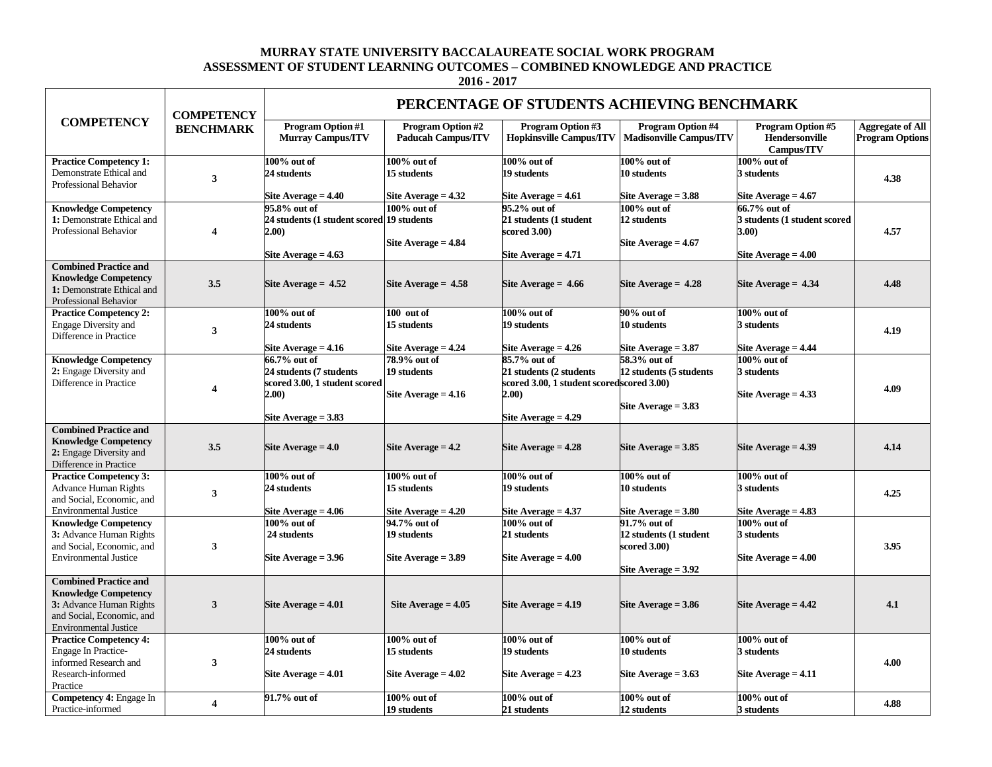## **MURRAY STATE UNIVERSITY BACCALAUREATE SOCIAL WORK PROGRAM ASSESSMENT OF STUDENT LEARNING OUTCOMES – COMBINED KNOWLEDGE AND PRACTICE**

**2016 - 2017**

|                                                                                                                                                     | <b>COMPETENCY</b><br><b>BENCHMARK</b> | PERCENTAGE OF STUDENTS ACHIEVING BENCHMARK                                                                 |                                                        |                                                                                                                        |                                                                                 |                                                                                       |                                                   |  |
|-----------------------------------------------------------------------------------------------------------------------------------------------------|---------------------------------------|------------------------------------------------------------------------------------------------------------|--------------------------------------------------------|------------------------------------------------------------------------------------------------------------------------|---------------------------------------------------------------------------------|---------------------------------------------------------------------------------------|---------------------------------------------------|--|
| <b>COMPETENCY</b>                                                                                                                                   |                                       | <b>Program Option #1</b><br><b>Murray Campus/ITV</b>                                                       | <b>Program Option #2</b><br><b>Paducah Campus/ITV</b>  | Program Option #3<br><b>Hopkinsville Campus/ITV</b>                                                                    | <b>Program Option #4</b><br><b>Madisonville Campus/ITV</b>                      | <b>Program Option #5</b><br>Hendersonville<br>Campus/ITV                              | <b>Aggregate of All</b><br><b>Program Options</b> |  |
| <b>Practice Competency 1:</b><br>Demonstrate Ethical and<br>Professional Behavior                                                                   | 3                                     | 100% out of<br>24 students<br>Site Average = 4.40                                                          | $100\%$ out of<br>15 students<br>Site Average $= 4.32$ | 100% out of<br>19 students<br>Site Average $= 4.61$                                                                    | $100\%$ out of<br>10 students<br>Site Average = 3.88                            | 100% out of<br>3 students<br>Site Average $= 4.67$                                    | 4.38                                              |  |
| <b>Knowledge Competency</b><br>1: Demonstrate Ethical and<br>Professional Behavior                                                                  | 4                                     | 95.8% out of<br>24 students (1 student scored 19 students<br>2.00)<br>Site Average $= 4.63$                | $100\%$ out of<br>Site Average $= 4.84$                | 95.2% out of<br>21 students (1 student<br>scored 3.00)<br>Site Average = 4.71                                          | $100\%$ out of<br>12 students<br>Site Average $= 4.67$                          | 66.7% out of<br>3 students (1 student scored<br><b>3.00)</b><br>Site Average $=$ 4.00 | 4.57                                              |  |
| <b>Combined Practice and</b><br><b>Knowledge Competency</b><br>1: Demonstrate Ethical and<br>Professional Behavior                                  | 3.5                                   | Site Average $= 4.52$                                                                                      | Site Average $= 4.58$                                  | Site Average $= 4.66$                                                                                                  | Site Average $= 4.28$                                                           | Site Average $= 4.34$                                                                 | 4.48                                              |  |
| <b>Practice Competency 2:</b><br><b>Engage Diversity and</b><br>Difference in Practice                                                              | 3                                     | $100\%$ out of<br>24 students<br>Site Average $= 4.16$                                                     | 100 out of<br>15 students<br>Site Average $= 4.24$     | 100% out of<br>19 students<br>Site Average $= 4.26$                                                                    | 90% out of<br>10 students<br>Site Average $= 3.87$                              | 100% out of<br>3 students<br>Site Average $= 4.44$                                    | 4.19                                              |  |
| <b>Knowledge Competency</b><br>2: Engage Diversity and<br>Difference in Practice                                                                    | $\overline{\mathbf{4}}$               | 66.7% out of<br>24 students (7 students<br>scored 3.00, 1 student scored<br>2.00)<br>Site Average $= 3.83$ | 78.9% out of<br>19 students<br>Site Average $= 4.16$   | 85.7% out of<br>21 students (2 students<br>scored 3.00, 1 student scoredscored 3.00)<br>2.00)<br>Site Average $= 4.29$ | 58.3% out of<br>12 students (5 students<br>Site Average $= 3.83$                | 100% out of<br>3 students<br>Site Average $= 4.33$                                    | 4.09                                              |  |
| <b>Combined Practice and</b><br><b>Knowledge Competency</b><br>2: Engage Diversity and<br>Difference in Practice                                    | 3.5                                   | Site Average $=$ 4.0                                                                                       | Site Average $= 4.2$                                   | Site Average $= 4.28$                                                                                                  | Site Average $= 3.85$                                                           | Site Average $= 4.39$                                                                 | 4.14                                              |  |
| <b>Practice Competency 3:</b><br><b>Advance Human Rights</b><br>and Social, Economic, and<br><b>Environmental Justice</b>                           | 3                                     | $100\%$ out of<br>24 students<br>Site Average $=$ 4.06                                                     | $100\%$ out of<br>15 students<br>Site Average $= 4.20$ | 100% out of<br>19 students<br>Site Average $= 4.37$                                                                    | $100\%$ out of<br>10 students<br>Site Average $= 3.80$                          | 100% out of<br>3 students<br>Site Average $= 4.83$                                    | 4.25                                              |  |
| <b>Knowledge Competency</b><br>3: Advance Human Rights<br>and Social, Economic, and<br><b>Environmental Justice</b>                                 | 3                                     | $100\%$ out of<br>24 students<br>Site Average $=$ 3.96                                                     | 94.7% out of<br>19 students<br>Site Average $= 3.89$   | $100\%$ out of<br>21 students<br>Site Average $=$ 4.00                                                                 | 91.7% out of<br>12 students (1 student<br>scored 3.00)<br>Site Average $= 3.92$ | 100% out of<br>3 students<br>Site Average $= 4.00$                                    | 3.95                                              |  |
| <b>Combined Practice and</b><br><b>Knowledge Competency</b><br>3: Advance Human Rights<br>and Social, Economic, and<br><b>Environmental Justice</b> | $\mathbf{3}$                          | Site Average $=4.01$                                                                                       | Site Average $= 4.05$                                  | Site Average $= 4.19$                                                                                                  | Site Average $= 3.86$                                                           | Site Average $= 4.42$                                                                 | 4.1                                               |  |
| <b>Practice Competency 4:</b><br>Engage In Practice-<br>informed Research and<br>Research-informed<br>Practice                                      | 3                                     | $100\%$ out of<br>24 students<br>Site Average $=4.01$                                                      | $100\%$ out of<br>15 students<br>Site Average $= 4.02$ | 100% out of<br>19 students<br>Site Average $= 4.23$                                                                    | 100% out of<br>10 students<br>Site Average $= 3.63$                             | 100% out of<br>3 students<br>Site Average $= 4.11$                                    | 4.00                                              |  |
| Competency 4: Engage In<br>Practice-informed                                                                                                        | $\overline{4}$                        | 91.7% out of                                                                                               | $100\%$ out of<br>19 students                          | 100% out of<br>21 students                                                                                             | 100% out of<br>12 students                                                      | 100% out of<br>3 students                                                             | 4.88                                              |  |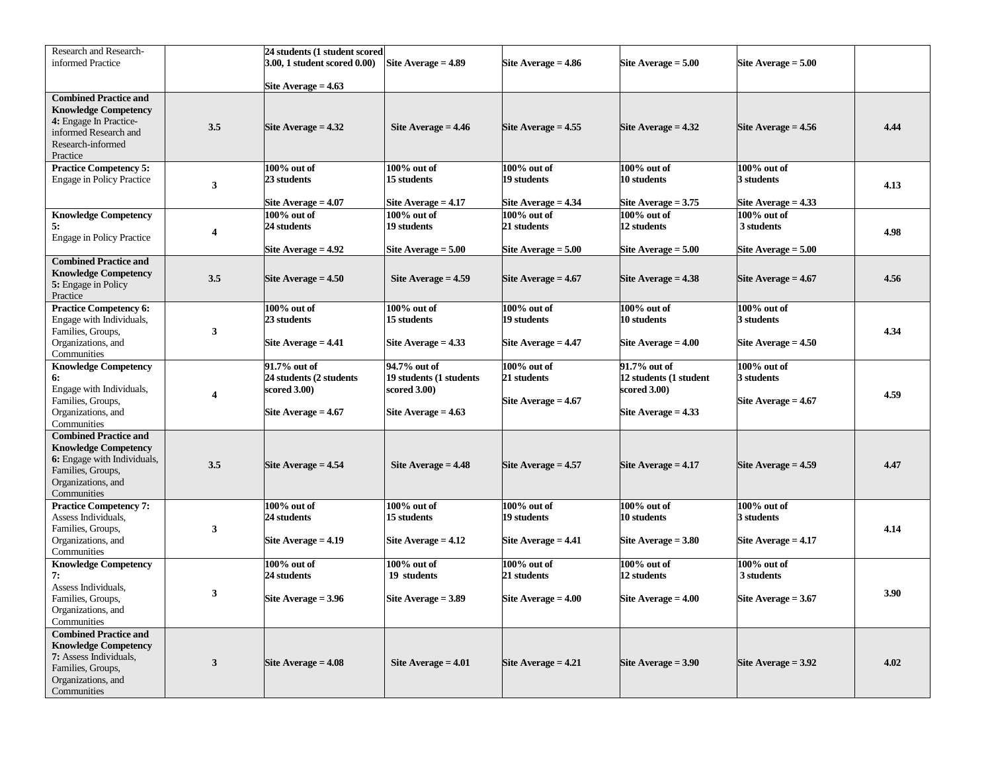| Research and Research-                                                                                                                               |                         | 24 students (1 student scored                                                    |                                                                                     |                                                        |                                                                                 |                                                       |      |
|------------------------------------------------------------------------------------------------------------------------------------------------------|-------------------------|----------------------------------------------------------------------------------|-------------------------------------------------------------------------------------|--------------------------------------------------------|---------------------------------------------------------------------------------|-------------------------------------------------------|------|
| informed Practice                                                                                                                                    |                         | 3.00, 1 student scored 0.00)                                                     | Site Average $= 4.89$                                                               | Site Average $= 4.86$                                  | Site Average $= 5.00$                                                           | Site Average $= 5.00$                                 |      |
|                                                                                                                                                      |                         | Site Average $= 4.63$                                                            |                                                                                     |                                                        |                                                                                 |                                                       |      |
| <b>Combined Practice and</b><br><b>Knowledge Competency</b><br>4: Engage In Practice-<br>informed Research and<br>Research-informed<br>Practice      | 3.5                     | Site Average $= 4.32$                                                            | Site Average $= 4.46$                                                               | Site Average $= 4.55$                                  | Site Average $= 4.32$                                                           | Site Average $= 4.56$                                 | 4.44 |
| <b>Practice Competency 5:</b><br><b>Engage in Policy Practice</b>                                                                                    | $\mathbf{3}$            | 100% out of<br>23 students<br>Site Average $= 4.07$                              | 100% out of<br>15 students<br>Site Average $= 4.17$                                 | $100\%$ out of<br>19 students<br>Site Average $= 4.34$ | 100% out of<br>10 students<br>Site Average $= 3.75$                             | $100\%$ out of<br>3 students<br>Site Average $= 4.33$ | 4.13 |
| <b>Knowledge Competency</b><br>5:<br><b>Engage in Policy Practice</b>                                                                                | $\overline{\mathbf{4}}$ | 100% out of<br>24 students<br>Site Average = 4.92                                | $100\%$ out of<br>19 students<br>Site Average $= 5.00$                              | 100% out of<br>21 students<br>Site Average $= 5.00$    | 100% out of<br>12 students<br>Site Average $= 5.00$                             | $100\%$ out of<br>3 students<br>Site Average $= 5.00$ | 4.98 |
| <b>Combined Practice and</b><br><b>Knowledge Competency</b><br>5: Engage in Policy<br>Practice                                                       | 3.5                     | Site Average $= 4.50$                                                            | Site Average $= 4.59$                                                               | Site Average $= 4.67$                                  | Site Average $= 4.38$                                                           | Site Average $= 4.67$                                 | 4.56 |
| <b>Practice Competency 6:</b><br>Engage with Individuals,<br>Families, Groups,<br>Organizations, and<br>Communities                                  | $\mathbf{3}$            | 100% out of<br>23 students<br>Site Average $= 4.41$                              | 100% out of<br>15 students<br>Site Average $= 4.33$                                 | 100% out of<br>19 students<br>Site Average $= 4.47$    | 100% out of<br>10 students<br>Site Average $= 4.00$                             | $100\%$ out of<br>3 students<br>Site Average $= 4.50$ | 4.34 |
| <b>Knowledge Competency</b><br>6:<br>Engage with Individuals,<br>Families, Groups,<br>Organizations, and<br>Communities                              | $\overline{\mathbf{4}}$ | 91.7% out of<br>24 students (2 students<br>scored 3.00)<br>Site Average $=$ 4.67 | 94.7% out of<br>19 students (1 students<br>scored $3.00$ )<br>Site Average $= 4.63$ | $100\%$ out of<br>21 students<br>Site Average $= 4.67$ | 91.7% out of<br>12 students (1 student<br>scored 3.00)<br>Site Average $= 4.33$ | $100\%$ out of<br>3 students<br>Site Average $= 4.67$ | 4.59 |
| <b>Combined Practice and</b><br><b>Knowledge Competency</b><br>6: Engage with Individuals,<br>Families, Groups,<br>Organizations, and<br>Communities | 3.5                     | Site Average $= 4.54$                                                            | Site Average $= 4.48$                                                               | Site Average $= 4.57$                                  | Site Average $= 4.17$                                                           | Site Average $= 4.59$                                 | 4.47 |
| <b>Practice Competency 7:</b><br>Assess Individuals,<br>Families, Groups,<br>Organizations, and<br>Communities                                       | $\mathbf{3}$            | $100\%$ out of<br>24 students<br>Site Average $= 4.19$                           | $100\%$ out of<br>15 students<br>Site Average $= 4.12$                              | $100\%$ out of<br>19 students<br>Site Average $= 4.41$ | $100\%$ out of<br>10 students<br>Site Average $= 3.80$                          | 100% out of<br>3 students<br>Site Average $= 4.17$    | 4.14 |
| <b>Knowledge Competency</b><br>7:<br>Assess Individuals,<br>Families, Groups,<br>Organizations, and<br>Communities                                   | 3                       | 100% out of<br>24 students<br>Site Average $= 3.96$                              | 100% out of<br>19 students<br>Site Average $= 3.89$                                 | $100\%$ out of<br>21 students<br>Site Average $=4.00$  | 100% out of<br>12 students<br>Site Average $= 4.00$                             | $100\%$ out of<br>3 students<br>Site Average $= 3.67$ | 3.90 |
| <b>Combined Practice and</b><br><b>Knowledge Competency</b><br>7: Assess Individuals,<br>Families, Groups,<br>Organizations, and<br>Communities      | $\mathbf{3}$            | Site Average $= 4.08$                                                            | Site Average $= 4.01$                                                               | Site Average $= 4.21$                                  | Site Average $= 3.90$                                                           | Site Average $= 3.92$                                 | 4.02 |